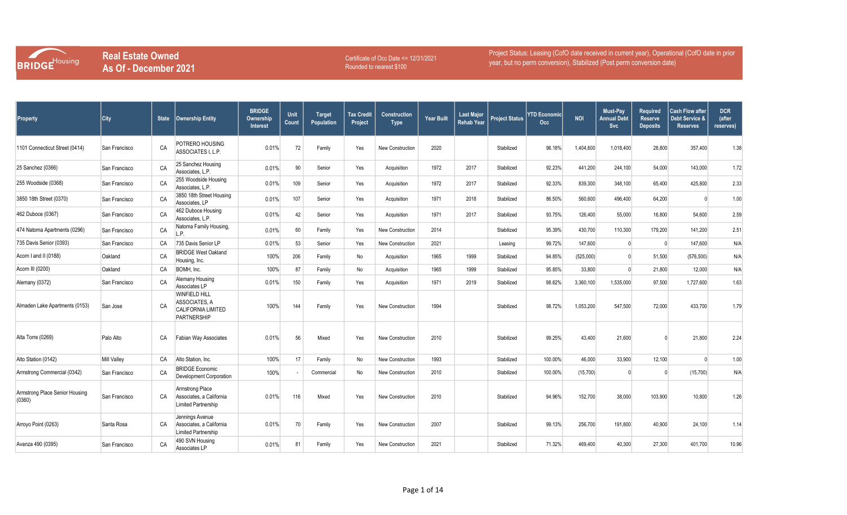

Certificate of Occ Date <= 12/31/2021 Rounded to nearest \$100

| <b>Property</b>                          | City               |    | State   Ownership Entity                                                          | <b>BRIDGE</b><br>Ownership<br><b>Interest</b> | Unit<br>Count | <b>Target</b><br>Population | Tax Credit<br>Project | <b>Construction</b><br>Type | <b>Year Built</b> | <b>Last Major</b><br>Rehab Year | <b>Project Status</b> | YTD Economicl<br>Occ | <b>NOI</b> | Must-Pay<br>Annual Debt<br>Svc | <b>Required</b><br><b>Reserve</b><br><b>Deposits</b> | <b>Cash Flow after</b><br>Debt Service &<br><b>Reserves</b> | <b>DCR</b><br>(after<br>reserves) |
|------------------------------------------|--------------------|----|-----------------------------------------------------------------------------------|-----------------------------------------------|---------------|-----------------------------|-----------------------|-----------------------------|-------------------|---------------------------------|-----------------------|----------------------|------------|--------------------------------|------------------------------------------------------|-------------------------------------------------------------|-----------------------------------|
| 1101 Connecticut Street (0414)           | San Francisco      | CA | POTRERO HOUSING<br>ASSOCIATES I. L.P.                                             | 0.01%                                         | 72            | Family                      | Yes                   | <b>New Construction</b>     | 2020              |                                 | Stabilized            | 96.18%               | 1,404,600  | 1,018,400                      | 28,800                                               | 357,400                                                     | 1.38                              |
| 25 Sanchez (0366)                        | San Francisco      | CA | 25 Sanchez Housing<br>Associates, L.P.                                            | 0.01%                                         | 90            | Senior                      | Yes                   | Acquisition                 | 1972              | 2017                            | Stabilized            | 92.23%               | 441,200    | 244,100                        | 54,000                                               | 143,000                                                     | 1.72                              |
| 255 Woodside (0368)                      | San Francisco      | CA | 255 Woodside Housing<br>Associates, L.P.                                          | 0.01%                                         | 109           | Senior                      | Yes                   | Acquisition                 | 1972              | 2017                            | Stabilized            | 92.33%               | 839,300    | 348,100                        | 65,400                                               | 425,800                                                     | 2.33                              |
| 3850 18th Street (0370)                  | San Francisco      | CA | 3850 18th Street Housing<br>Associates, LP                                        | 0.01%                                         | 107           | Senior                      | Yes                   | Acquisition                 | 1971              | 2018                            | Stabilized            | 86.50%               | 560,600    | 496,400                        | 64,200                                               |                                                             | 1.00                              |
| 462 Duboce (0367)                        | San Francisco      | CA | 462 Duboce Housing<br>Associates, L.P.                                            | 0.01%                                         | 42            | Senior                      | Yes                   | Acquisition                 | 1971              | 2017                            | Stabilized            | 93.75%               | 126,400    | 55,000                         | 16.800                                               | 54,600                                                      | 2.59                              |
| 474 Natoma Apartments (0296)             | San Francisco      | CA | Natoma Family Housing,<br>L.P.                                                    | 0.01%                                         | 60            | Family                      | Yes                   | <b>New Construction</b>     | 2014              |                                 | Stabilized            | 95.39%               | 430,700    | 110,300                        | 179,200                                              | 141,200                                                     | 2.51                              |
| 735 Davis Senior (0393)                  | San Francisco      | CA | 735 Davis Senior LP                                                               | 0.01%                                         | 53            | Senior                      | Yes                   | New Construction            | 2021              |                                 | Leasing               | 99.72%               | 147,600    |                                | $\Omega$                                             | 147,600                                                     | N/A                               |
| Acorn I and II (0188)                    | Oakland            | CA | <b>BRIDGE West Oakland</b><br>Housing, Inc.                                       | 100%                                          | 206           | Family                      | No                    | Acquisition                 | 1965              | 1999                            | Stabilized            | 94.85%               | (525,000)  | $\Omega$                       | 51,500                                               | (576, 500)                                                  | N/A                               |
| Acorn III (0200)                         | Oakland            | CA | BOMH, Inc.                                                                        | 100%                                          | 87            | Family                      | No                    | Acquisition                 | 1965              | 1999                            | Stabilized            | 95.85%               | 33,800     |                                | 21,800                                               | 12,000                                                      | N/A                               |
| Alemany (0372)                           | San Francisco      | CA | Alemany Housing<br>Associates LP                                                  | 0.01%                                         | 150           | Family                      | Yes                   | Acquisition                 | 1971              | 2019                            | Stabilized            | 98.62%               | 3,360,100  | 1,535,000                      | 97,500                                               | 1,727,600                                                   | 1.63                              |
| Almaden Lake Apartments (0153)           | San Jose           | CA | <b>WINFIELD HILL</b><br>ASSOCIATES, A<br><b>CALIFORNIA LIMITED</b><br>PARTNERSHIP | 100%                                          | 144           | Family                      | Yes                   | New Construction            | 1994              |                                 | Stabilized            | 98.72%               | 1,053,200  | 547,500                        | 72,000                                               | 433,700                                                     | 1.79                              |
| Alta Torre (0269)                        | Palo Alto          | CA | Fabian Way Associates                                                             | 0.01%                                         | 56            | Mixed                       | Yes                   | <b>New Construction</b>     | 2010              |                                 | Stabilized            | 99.25%               | 43,400     | 21,600                         |                                                      | 21,800                                                      | 2.24                              |
| Alto Station (0142)                      | <b>Mill Vallev</b> | CA | Alto Station, Inc.                                                                | 100%                                          | 17            | Family                      | No                    | <b>New Construction</b>     | 1993              |                                 | Stabilized            | 100.00%              | 46,000     | 33,900                         | 12,100                                               | $\Omega$                                                    | 1.00                              |
| Armstrong Commercial (0342)              | San Francisco      | CA | <b>BRIDGE Economic</b><br>Development Corporation                                 | 100%                                          |               | Commercial                  | No                    | New Construction            | 2010              |                                 | Stabilized            | 100.00%              | (15, 700)  |                                | $\sqrt{ }$                                           | (15,700)                                                    | N/A                               |
| Armstrong Place Senior Housing<br>(0360) | San Francisco      | CA | <b>Armstrong Place</b><br>Associates, a California<br><b>Limited Partnership</b>  | 0.01%                                         | 116           | Mixed                       | Yes                   | <b>New Construction</b>     | 2010              |                                 | Stabilized            | 94.96%               | 152,700    | 38,000                         | 103,900                                              | 10,800                                                      | 1.26                              |
| Arroyo Point (0263)                      | Santa Rosa         | CA | Jennings Avenue<br>Associates, a California<br>Limited Partnership                | 0.01%                                         | 70            | Family                      | Yes                   | <b>New Construction</b>     | 2007              |                                 | Stabilized            | 99.13%               | 256,700    | 191,800                        | 40,900                                               | 24,100                                                      | 1.14                              |
| Avanza 490 (0395)                        | San Francisco      | CA | 490 SVN Housing<br>Associates LP                                                  | 0.01%                                         | 81            | Family                      | Yes                   | New Construction            | 2021              |                                 | Stabilized            | 71.32%               | 469,400    | 40,300                         | 27,300                                               | 401,700                                                     | 10.96                             |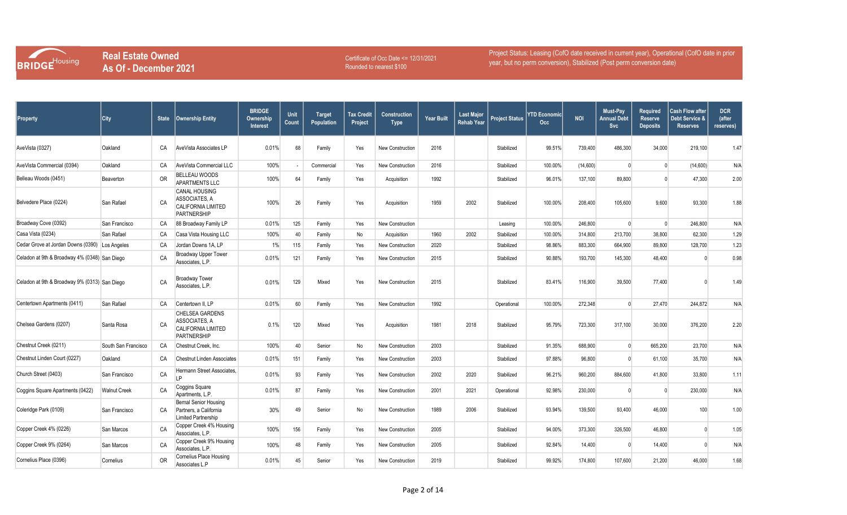

Certificate of Occ Date <= 12/31/2021 Rounded to nearest \$100

| <b>Property</b>                                | City                | <b>State</b> | <b>Ownership Entity</b>                                                                    | <b>BRIDGE</b><br>Ownership<br>Interest | Unit<br>Count | <b>Target</b><br>Population | <b>Tax Credit</b><br>Project | <b>Construction</b><br><b>Type</b> | <b>Year Built</b> | <b>Last Major</b><br><b>Rehab Year</b> | <b>Project Status</b> | YTD Economic<br>Occ. | <b>NOI</b> | Must-Pay<br><b>Annual Debt</b><br>Svc | <b>Required</b><br><b>Reserve</b><br><b>Deposits</b> | Cash Flow after<br>Debt Service &<br><b>Reserves</b> | <b>DCR</b><br>(after<br>reserves) |
|------------------------------------------------|---------------------|--------------|--------------------------------------------------------------------------------------------|----------------------------------------|---------------|-----------------------------|------------------------------|------------------------------------|-------------------|----------------------------------------|-----------------------|----------------------|------------|---------------------------------------|------------------------------------------------------|------------------------------------------------------|-----------------------------------|
| AveVista (0327)                                | Oakland             | CA           | AveVista Associates LP                                                                     | 0.01%                                  | 68            | Family                      | Yes                          | New Construction                   | 2016              |                                        | Stabilized            | 99.51%               | 739,400    | 486,300                               | 34,000                                               | 219,100                                              | 1.47                              |
| AveVista Commercial (0394)                     | Oakland             | CA           | AveVista Commercial LLC                                                                    | 100%                                   |               | Commercial                  | Yes                          | New Construction                   | 2016              |                                        | Stabilized            | 100.00%              | (14,600)   | $\Omega$                              |                                                      | (14,600)                                             | N/A                               |
| Belleau Woods (0451)                           | Beaverton           | <b>OR</b>    | <b>BELLEAU WOODS</b><br><b>APARTMENTS LLC</b>                                              | 100%                                   | 64            | Family                      | Yes                          | Acquisition                        | 1992              |                                        | Stabilized            | 96.01%               | 137,100    | 89,800                                |                                                      | 47,300                                               | 2.00                              |
| Belvedere Place (0224)                         | San Rafael          | CA           | <b>CANAL HOUSING</b><br>ASSOCIATES. A<br><b>CALIFORNIA LIMITED</b><br>PARTNERSHIP          | 100%                                   | 26            | Family                      | Yes                          | Acquisition                        | 1959              | 2002                                   | Stabilized            | 100.00%              | 208,400    | 105,600                               | 9,600                                                | 93,300                                               | 1.88                              |
| Broadway Cove (0392)                           | San Francisco       | CA           | 88 Broadway Family LP                                                                      | 0.01%                                  | 125           | Family                      | Yes                          | New Construction                   |                   |                                        | Leasing               | 100.00%              | 246.800    |                                       | $\Omega$                                             | 246,800                                              | N/A                               |
| Casa Vista (0234)                              | San Rafael          | CA           | Casa Vista Housing LLC                                                                     | 100%                                   | 40            | Family                      | No                           | Acquisition                        | 1960              | 2002                                   | Stabilized            | 100.00%              | 314,800    | 213,700                               | 38,800                                               | 62,300                                               | 1.29                              |
| Cedar Grove at Jordan Downs (0390) Los Angeles |                     | CA           | Jordan Downs 1A, LP                                                                        | 1%                                     | 115           | Family                      | Yes                          | New Construction                   | 2020              |                                        | Stabilized            | 98.86%               | 883,300    | 664,900                               | 89,800                                               | 128,700                                              | 1.23                              |
| Celadon at 9th & Broadway 4% (0348) San Diego  |                     | CA           | Broadway Upper Tower<br>Associates, L.P.                                                   | 0.01%                                  | 121           | Family                      | Yes                          | <b>New Construction</b>            | 2015              |                                        | Stabilized            | 90.88%               | 193,700    | 145,300                               | 48,400                                               |                                                      | 0.98                              |
| Celadon at 9th & Broadway 9% (0313) San Diego  |                     | CA           | <b>Broadway Tower</b><br>Associates, L.P.                                                  | 0.01%                                  | 129           | Mixed                       | Yes                          | New Construction                   | 2015              |                                        | Stabilized            | 83.41%               | 116,900    | 39,500                                | 77,400                                               |                                                      | 1.49                              |
| Centertown Apartments (0411)                   | San Rafael          | CA           | Centertown II. LP                                                                          | 0.01%                                  | 60            | Family                      | Yes                          | New Construction                   | 1992              |                                        | Operational           | 100.00%              | 272,348    |                                       | 27,470                                               | 244,872                                              | N/A                               |
| Chelsea Gardens (0207)                         | Santa Rosa          | CA           | <b>CHELSEA GARDENS</b><br>ASSOCIATES, A<br><b>CALIFORNIA LIMITED</b><br><b>PARTNERSHIP</b> | 0.1%                                   | 120           | Mixed                       | Yes                          | Acquisition                        | 1981              | 2018                                   | Stabilized            | 95.79%               | 723,300    | 317,100                               | 30,000                                               | 376,200                                              | 2.20                              |
| Chestnut Creek (0211)                          | South San Francisco | CA           | Chestnut Creek, Inc.                                                                       | 100%                                   | 40            | Senior                      | No                           | New Construction                   | 2003              |                                        | Stabilized            | 91.35%               | 688,900    |                                       | 665,200                                              | 23,700                                               | N/A                               |
| Chestnut Linden Court (0227)                   | Oakland             | CA           | <b>Chestnut Linden Associates</b>                                                          | 0.01%                                  | 151           | Family                      | Yes                          | New Construction                   | 2003              |                                        | Stabilized            | 97.88%               | 96,800     |                                       | 61,100                                               | 35,700                                               | N/A                               |
| Church Street (0403)                           | San Francisco       | CA           | Hermann Street Associates,<br>I <sub>P</sub>                                               | 0.01%                                  | 93            | Family                      | Yes                          | New Construction                   | 2002              | 2020                                   | Stabilized            | 96.21%               | 960,200    | 884,600                               | 41,800                                               | 33,800                                               | 1.11                              |
| Coggins Square Apartments (0422)               | <b>Walnut Creek</b> | CA           | Coggins Square<br>Apartments, L.P.                                                         | 0.01%                                  | 87            | Family                      | Yes                          | New Construction                   | 2001              | 2021                                   | Operational           | 92.98%               | 230,000    |                                       | $\Omega$                                             | 230,000                                              | N/A                               |
| Coleridge Park (0109)                          | San Francisco       | CA           | <b>Bernal Senior Housing</b><br>Partners, a California<br><b>Limited Partnership</b>       | 30%                                    | 49            | Senior                      | No                           | New Construction                   | 1989              | 2006                                   | Stabilized            | 93.94%               | 139,500    | 93,400                                | 46,000                                               | 100                                                  | 1.00                              |
| Copper Creek 4% (0226)                         | San Marcos          | CA           | Copper Creek 4% Housing<br>Associates, L.P.                                                | 100%                                   | 156           | Family                      | Yes                          | New Construction                   | 2005              |                                        | Stabilized            | 94.00%               | 373,300    | 326,500                               | 46,800                                               | $\Omega$                                             | 1.05                              |
| Copper Creek 9% (0264)                         | San Marcos          | CA           | Copper Creek 9% Housing<br>Associates, L.P.                                                | 100%                                   | 48            | Family                      | Yes                          | <b>New Construction</b>            | 2005              |                                        | Stabilized            | 92.84%               | 14,400     |                                       | 14,400                                               |                                                      | N/A                               |
| Cornelius Place (0396)                         | Cornelius           | <b>OR</b>    | Cornelius Place Housing<br>Associates L.P                                                  | 0.01%                                  | 45            | Senior                      | Yes                          | <b>New Construction</b>            | 2019              |                                        | Stabilized            | 99.92%               | 174,800    | 107,600                               | 21,200                                               | 46,000                                               | 1.68                              |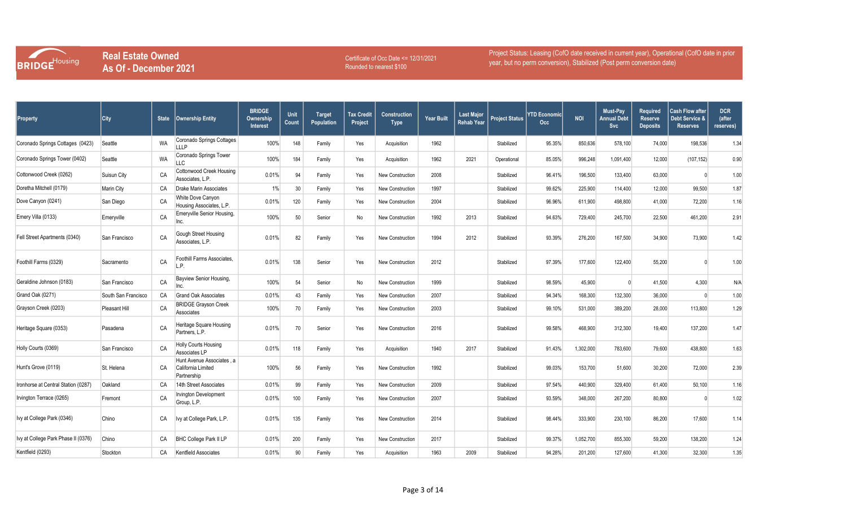

Certificate of Occ Date <= 12/31/2021 Rounded to nearest \$100

| <b>Property</b>                     | <b>City</b>         | <b>State</b> | <b>Ownership Entity</b>                                        | <b>BRIDGE</b><br>Ownership<br><b>Interest</b> | Unit<br>Count | <b>Target</b><br>Population | <b>Tax Credit</b><br>Project | <b>Construction</b><br><b>Type</b> | <b>Year Built</b> | <b>Last Major</b><br>Rehab Year | <b>Project Status</b> | YTD Economicl<br>Occ | <b>NOI</b> | Must-Pay<br>Annual Debt<br>Svc | <b>Required</b><br><b>Reserve</b><br><b>Deposits</b> | <b>Cash Flow after</b><br><b>Debt Service &amp;</b><br><b>Reserves</b> | <b>DCR</b><br>(after<br>reserves) |
|-------------------------------------|---------------------|--------------|----------------------------------------------------------------|-----------------------------------------------|---------------|-----------------------------|------------------------------|------------------------------------|-------------------|---------------------------------|-----------------------|----------------------|------------|--------------------------------|------------------------------------------------------|------------------------------------------------------------------------|-----------------------------------|
| Coronado Springs Cottages (0423)    | Seattle             | WA           | Coronado Springs Cottages<br><b>LLLP</b>                       | 100%                                          | 148           | Family                      | Yes                          | Acquisition                        | 1962              |                                 | Stabilized            | 95.35%               | 850,636    | 578,100                        | 74,000                                               | 198,536                                                                | 1.34                              |
| Coronado Springs Tower (0402)       | Seattle             | <b>WA</b>    | Coronado Springs Tower<br><b>LLC</b>                           | 100%                                          | 184           | Family                      | Yes                          | Acquisition                        | 1962              | 2021                            | Operational           | 85.05%               | 996,248    | 1,091,400                      | 12,000                                               | (107, 152)                                                             | 0.90                              |
| Cottonwood Creek (0262)             | Suisun City         | CA           | <b>Cottonwood Creek Housing</b><br>Associates, L.P.            | 0.01%                                         | 94            | Family                      | Yes                          | <b>New Construction</b>            | 2008              |                                 | Stabilized            | 96.41%               | 196,500    | 133,400                        | 63,000                                               |                                                                        | 1.00                              |
| Doretha Mitchell (0179)             | <b>Marin City</b>   | CA           | <b>Drake Marin Associates</b>                                  | 1%                                            | 30            | Family                      | Yes                          | New Construction                   | 1997              |                                 | Stabilized            | 99.62%               | 225,900    | 114,400                        | 12,000                                               | 99,500                                                                 | 1.87                              |
| Dove Canyon (0241)                  | San Diego           | CA           | White Dove Canyon<br>Housing Associates, L.P.                  | 0.01%                                         | 120           | Family                      | Yes                          | New Construction                   | 2004              |                                 | Stabilized            | 96.96%               | 611,900    | 498,800                        | 41,000                                               | 72,200                                                                 | 1.16                              |
| Emery Villa (0133)                  | Emeryville          | CA           | Emeryville Senior Housing,<br>Inc.                             | 100%                                          | 50            | Senior                      | No                           | New Construction                   | 1992              | 2013                            | Stabilized            | 94.63%               | 729,400    | 245,700                        | 22,500                                               | 461,200                                                                | 2.91                              |
| Fell Street Apartments (0340)       | San Francisco       | CA           | Gough Street Housing<br>Associates, L.P.                       | 0.01%                                         | 82            | Family                      | Yes                          | <b>New Construction</b>            | 1994              | 2012                            | Stabilized            | 93.39%               | 276,200    | 167,500                        | 34,900                                               | 73,900                                                                 | 1.42                              |
| Foothill Farms (0329)               | Sacramento          | CA           | Foothill Farms Associates,<br>L.P.                             | 0.01%                                         | 138           | Senior                      | Yes                          | New Construction                   | 2012              |                                 | Stabilized            | 97.39%               | 177,600    | 122,400                        | 55,200                                               |                                                                        | 1.00                              |
| Geraldine Johnson (0183)            | San Francisco       | CA           | Bayview Senior Housing,<br>Inc.                                | 100%                                          | 54            | Senior                      | No                           | New Construction                   | 1999              |                                 | Stabilized            | 98.59%               | 45,900     |                                | 41,500                                               | 4,300                                                                  | N/A                               |
| Grand Oak (0271)                    | South San Francisco | CA           | <b>Grand Oak Associates</b>                                    | 0.01%                                         | 43            | Family                      | Yes                          | New Construction                   | 2007              |                                 | Stabilized            | 94.34%               | 168,300    | 132,300                        | 36,000                                               | $\cap$                                                                 | 1.00                              |
| Grayson Creek (0203)                | Pleasant Hill       | CA           | <b>BRIDGE Grayson Creek</b><br>Associates                      | 100%                                          | 70            | Family                      | Yes                          | New Construction                   | 2003              |                                 | Stabilized            | 99.10%               | 531,000    | 389,200                        | 28,000                                               | 113,800                                                                | 1.29                              |
| Heritage Square (0353)              | Pasadena            | CA           | Heritage Square Housing<br>Partners, L.P.                      | 0.01%                                         | 70            | Senior                      | Yes                          | New Construction                   | 2016              |                                 | Stabilized            | 99.58%               | 468,900    | 312,300                        | 19,400                                               | 137,200                                                                | 1.47                              |
| Holly Courts (0369)                 | San Francisco       | CA           | Holly Courts Housing<br>Associates LP                          | 0.01%                                         | 118           | Family                      | Yes                          | Acquisition                        | 1940              | 2017                            | Stabilized            | 91.43%               | 1,302,000  | 783,600                        | 79,600                                               | 438,800                                                                | 1.63                              |
| Hunt's Grove (0119)                 | St. Helena          | CA           | Hunt Avenue Associates, a<br>California Limited<br>Partnership | 100%                                          | 56            | Family                      | Yes                          | New Construction                   | 1992              |                                 | Stabilized            | 99.03%               | 153,700    | 51,600                         | 30,200                                               | 72,000                                                                 | 2.39                              |
| Ironhorse at Central Station (0287) | Oakland             | CA           | 14th Street Associates                                         | 0.01%                                         | 99            | Family                      | Yes                          | <b>New Construction</b>            | 2009              |                                 | Stabilized            | 97.54%               | 440,900    | 329,400                        | 61,400                                               | 50,100                                                                 | 1.16                              |
| Irvington Terrace (0265)            | Fremont             | CA           | Irvington Development<br>Group, L.P.                           | 0.01%                                         | 100           | Family                      | Yes                          | New Construction                   | 2007              |                                 | Stabilized            | 93.59%               | 348,000    | 267,200                        | 80,800                                               |                                                                        | 1.02                              |
| Ivy at College Park (0346)          | Chino               | CA           | Ivy at College Park, L.P.                                      | 0.01%                                         | 135           | Family                      | Yes                          | New Construction                   | 2014              |                                 | Stabilized            | 98.44%               | 333,900    | 230,100                        | 86,200                                               | 17,600                                                                 | 1.14                              |
| Ivy at College Park Phase II (0376) | Chino               | CA           | <b>BHC College Park II LP</b>                                  | 0.01%                                         | 200           | Family                      | Yes                          | <b>New Construction</b>            | 2017              |                                 | Stabilized            | 99.37%               | 1,052,700  | 855,300                        | 59,200                                               | 138,200                                                                | 1.24                              |
| Kentfield (0293)                    | Stockton            | CA           | Kentfield Associates                                           | 0.01%                                         | 90            | Family                      | Yes                          | Acquisition                        | 1963              | 2009                            | Stabilized            | 94.28%               | 201,200    | 127,600                        | 41,300                                               | 32,300                                                                 | 1.35                              |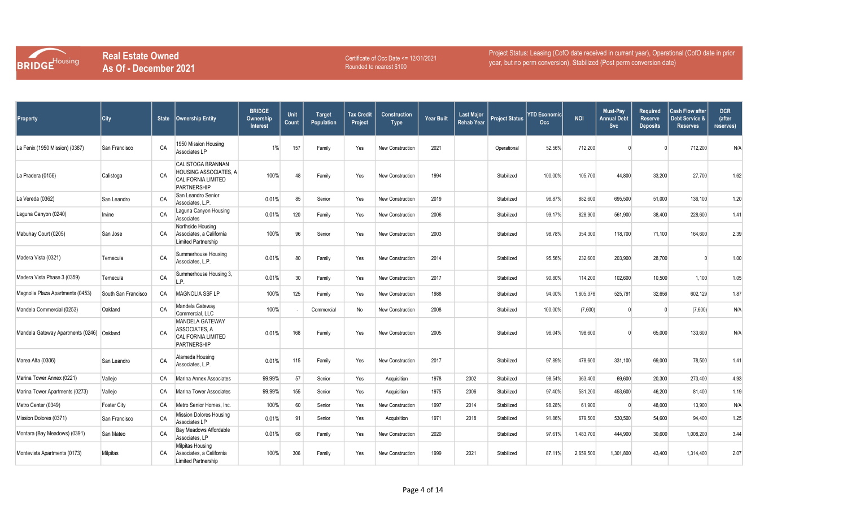

Certificate of Occ Date <= 12/31/2021 Rounded to nearest \$100

| Property                          | City                | <b>State</b> | <b>Ownership Entity</b>                                                                              | <b>BRIDGE</b><br>Ownership<br><b>Interest</b> | Unit<br>Count | <b>Target</b><br>Population | <b>Tax Credit</b><br>Project | <b>Construction</b><br><b>Type</b> | <b>Year Built</b> | <b>Last Major</b><br><b>Rehab Year</b> | <b>Project Status</b> | <b>YTD Economic</b><br>Occ. | <b>NOI</b> | Must-Pay<br>Annual Debt<br>Svc | <b>Required</b><br><b>Reserve</b><br><b>Deposits</b> | <b>Cash Flow after</b><br>Debt Service &<br><b>Reserves</b> | <b>DCR</b><br>(after<br>reserves) |
|-----------------------------------|---------------------|--------------|------------------------------------------------------------------------------------------------------|-----------------------------------------------|---------------|-----------------------------|------------------------------|------------------------------------|-------------------|----------------------------------------|-----------------------|-----------------------------|------------|--------------------------------|------------------------------------------------------|-------------------------------------------------------------|-----------------------------------|
| La Fenix (1950 Mission) (0387)    | San Francisco       | CA           | 1950 Mission Housing<br>Associates LP                                                                | $1\%$                                         | 157           | Family                      | Yes                          | <b>New Construction</b>            | 2021              |                                        | Operational           | 52.56%                      | 712,200    |                                |                                                      | 712,200                                                     | N/A                               |
| La Pradera (0156)                 | Calistoga           | CA           | <b>CALISTOGA BRANNAN</b><br>HOUSING ASSOCIATES, A<br><b>CALIFORNIA LIMITED</b><br><b>PARTNERSHIP</b> | 100%                                          | 48            | Family                      | Yes                          | New Construction                   | 1994              |                                        | Stabilized            | 100.00%                     | 105,700    | 44,800                         | 33,200                                               | 27,700                                                      | 1.62                              |
| La Vereda (0362)                  | San Leandro         | CA           | San Leandro Senior<br>Associates, L.P.                                                               | 0.01%                                         | 85            | Senior                      | Yes                          | <b>New Construction</b>            | 2019              |                                        | Stabilized            | 96.87%                      | 882,600    | 695,500                        | 51,000                                               | 136,100                                                     | 1.20                              |
| Laguna Canyon (0240)              | Irvine              | CA           | Laguna Canyon Housing<br>Associates                                                                  | 0.01%                                         | 120           | Family                      | Yes                          | New Construction                   | 2006              |                                        | Stabilized            | 99.17%                      | 828,900    | 561,900                        | 38,400                                               | 228,600                                                     | 1.41                              |
| Mabuhay Court (0205)              | San Jose            | CA           | Northside Housing<br>Associates, a California<br>Limited Partnership                                 | 100%                                          | 96            | Senior                      | Yes                          | New Construction                   | 2003              |                                        | Stabilized            | 98.78%                      | 354,300    | 118,700                        | 71,100                                               | 164,600                                                     | 2.39                              |
| Madera Vista (0321)               | Temecula            | CA           | Summerhouse Housing<br>Associates, L.P.                                                              | 0.01%                                         | 80            | Family                      | Yes                          | New Construction                   | 2014              |                                        | Stabilized            | 95.56%                      | 232,600    | 203,900                        | 28,700                                               |                                                             | 1.00                              |
| Madera Vista Phase 3 (0359)       | Temecula            | CA           | Summerhouse Housing 3,<br>P                                                                          | 0.01%                                         | 30            | Family                      | Yes                          | New Construction                   | 2017              |                                        | Stabilized            | 90.80%                      | 114,200    | 102,600                        | 10,500                                               | 1,100                                                       | 1.05                              |
| Magnolia Plaza Apartments (0453)  | South San Francisco | CA           | MAGNOLIA SSF LP                                                                                      | 100%                                          | 125           | Family                      | Yes                          | <b>New Construction</b>            | 1988              |                                        | Stabilized            | 94.00%                      | 1,605,376  | 525,791                        | 32,656                                               | 602,129                                                     | 1.87                              |
| Mandela Commercial (0253)         | Oakland             | CA           | Mandela Gateway<br>Commercial, LLC                                                                   | 100%                                          |               | Commercial                  | No                           | New Construction                   | 2008              |                                        | Stabilized            | 100.00%                     | (7,600)    |                                | $\Omega$                                             | (7,600)                                                     | N/A                               |
| Mandela Gateway Apartments (0246) | Oakland             | CA           | <b>MANDELA GATEWAY</b><br>ASSOCIATES, A<br><b>CALIFORNIA LIMITED</b><br>PARTNERSHIP                  | 0.01%                                         | 168           | Family                      | Yes                          | <b>New Construction</b>            | 2005              |                                        | Stabilized            | 96.04%                      | 198,600    |                                | 65,000                                               | 133,600                                                     | N/A                               |
| Marea Alta (0306)                 | San Leandro         | CA           | Alameda Housing<br>Associates, L.P.                                                                  | 0.01%                                         | 115           | Family                      | Yes                          | <b>New Construction</b>            | 2017              |                                        | Stabilized            | 97.89%                      | 478,600    | 331,100                        | 69,000                                               | 78,500                                                      | 1.41                              |
| Marina Tower Annex (0221)         | Vallejo             | CA           | Marina Annex Associates                                                                              | 99.99%                                        | 57            | Senior                      | Yes                          | Acquisition                        | 1978              | 2002                                   | Stabilized            | 98.54%                      | 363.400    | 69,600                         | 20,300                                               | 273,400                                                     | 4.93                              |
| Marina Tower Apartments (0273)    | Vallejo             | CA           | Marina Tower Associates                                                                              | 99.99%                                        | 155           | Senior                      | Yes                          | Acquisition                        | 1975              | 2006                                   | Stabilized            | 97.40%                      | 581,200    | 453,600                        | 46,200                                               | 81.400                                                      | 1.19                              |
| Metro Center (0349)               | <b>Foster City</b>  | CA           | Metro Senior Homes, Inc.                                                                             | 100%                                          | 60            | Senior                      | Yes                          | New Construction                   | 1997              | 2014                                   | Stabilized            | 98.28%                      | 61,900     | $\Omega$                       | 48,000                                               | 13,900                                                      | N/A                               |
| Mission Dolores (0371)            | San Francisco       | CA           | <b>Mission Dolores Housing</b><br>Associates LP                                                      | 0.01%                                         | 91            | Senior                      | Yes                          | Acquisition                        | 1971              | 2018                                   | Stabilized            | 91.86%                      | 679,500    | 530,500                        | 54,600                                               | 94,400                                                      | 1.25                              |
| Montara (Bay Meadows) (0391)      | San Mateo           | CA           | Bay Meadows Affordable<br>Associates, LP                                                             | 0.01%                                         | 68            | Family                      | Yes                          | New Construction                   | 2020              |                                        | Stabilized            | 97.61%                      | 1,483,700  | 444,900                        | 30,600                                               | 1,008,200                                                   | 3.44                              |
| Montevista Apartments (0173)      | Milpitas            | CA           | Milpitas Housing<br>Associates, a California<br>Limited Partnership                                  | 100%                                          | 306           | Family                      | Yes                          | New Construction                   | 1999              | 2021                                   | Stabilized            | 87.11%                      | 2,659,500  | 1,301,800                      | 43,400                                               | 1,314,400                                                   | 2.07                              |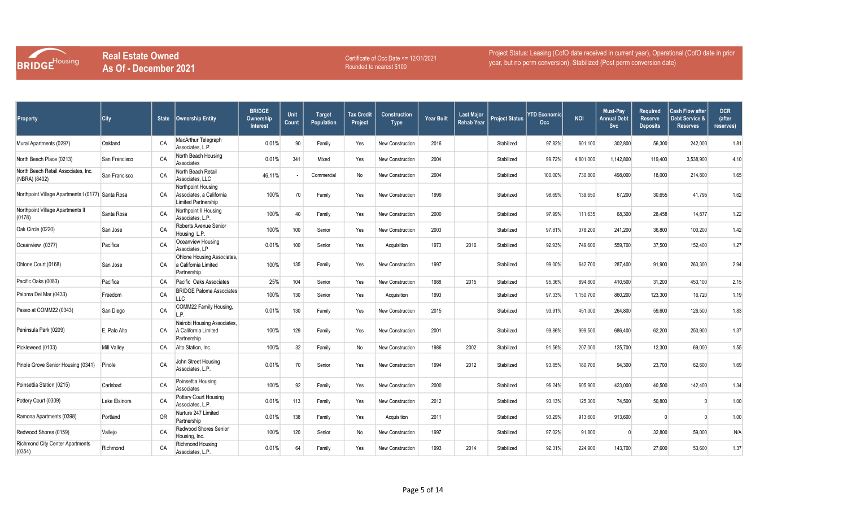

Certificate of Occ Date <= 12/31/2021 Rounded to nearest \$100

| <b>Property</b>                                      | City               | <b>State</b> | <b>Ownership Entity</b>                                               | <b>BRIDGE</b><br><b>Ownership</b><br><b>Interest</b> | Unit<br>Count | <b>Target</b><br>Population | <b>Tax Credit</b><br>Project | <b>Construction</b><br><b>Type</b> | <b>Year Built</b> | <b>Last Major</b><br><b>Rehab Year</b> | <b>Project Status</b> | YTD Economicl<br>Occ | <b>NOI</b> | Must-Pay<br><b>Annual Debt</b><br><b>Svc</b> | <b>Required</b><br><b>Reserve</b><br><b>Deposits</b> | <b>Cash Flow after</b><br>Debt Service &<br><b>Reserves</b> | <b>DCR</b><br>(after<br>reserves) |
|------------------------------------------------------|--------------------|--------------|-----------------------------------------------------------------------|------------------------------------------------------|---------------|-----------------------------|------------------------------|------------------------------------|-------------------|----------------------------------------|-----------------------|----------------------|------------|----------------------------------------------|------------------------------------------------------|-------------------------------------------------------------|-----------------------------------|
| Mural Apartments (0297)                              | Oakland            | CA           | MacArthur Telegraph<br>Associates, L.P.                               | 0.01%                                                | 90            | Family                      | Yes                          | <b>New Construction</b>            | 2016              |                                        | Stabilized            | 97.82%               | 601,100    | 302,800                                      | 56,300                                               | 242,000                                                     | 1.8'                              |
| North Beach Place (0213)                             | San Francisco      | CA           | North Beach Housing<br>Associates                                     | 0.01%                                                | 341           | Mixed                       | Yes                          | <b>New Construction</b>            | 2004              |                                        | Stabilized            | 99.72%               | 4,801,000  | 1,142,800                                    | 119,400                                              | 3,538,900                                                   | 4.10                              |
| North Beach Retail Associates, Inc.<br>(NBRA) (8402) | San Francisco      | CA           | North Beach Retail<br>Associates, LLC                                 | 46.11%                                               |               | Commercial                  | No                           | <b>New Construction</b>            | 2004              |                                        | Stabilized            | 100.00%              | 730,800    | 498,000                                      | 18,000                                               | 214,800                                                     | 1.65                              |
| Northpoint Village Apartments I (0177) Santa Rosa    |                    | CA           | Northpoint Housing<br>Associates, a California<br>Limited Partnership | 100%                                                 | 70            | Family                      | Yes                          | <b>New Construction</b>            | 1999              |                                        | Stabilized            | 98.69%               | 139,650    | 67,200                                       | 30,655                                               | 41,795                                                      | 1.62                              |
| Northpoint Village Apartments II<br>(0178)           | Santa Rosa         | CA           | Northpoint II Housing<br>Associates, L.P.                             | 100%                                                 | 40            | Family                      | Yes                          | <b>New Construction</b>            | 2000              |                                        | Stabilized            | 97.99%               | 111,635    | 68,300                                       | 28,458                                               | 14,877                                                      | 1.22                              |
| Oak Circle (0220)                                    | San Jose           | CA           | Roberts Avenue Senior<br>Housing L.P.                                 | 100%                                                 | 100           | Senior                      | Yes                          | <b>New Construction</b>            | 2003              |                                        | Stabilized            | 97.81%               | 378,200    | 241,200                                      | 36,800                                               | 100,200                                                     | 1.42                              |
| Oceanview (0377)                                     | Pacifica           | CA           | Oceanview Housing<br>Associates, LP                                   | 0.01%                                                | 100           | Senior                      | Yes                          | Acquisition                        | 1973              | 2016                                   | Stabilized            | 92.93%               | 749,600    | 559,700                                      | 37,500                                               | 152,400                                                     | 1.27                              |
| Ohlone Court (0168)                                  | San Jose           | CA           | Ohlone Housing Associates.<br>a California Limited<br>Partnership     | 100%                                                 | 135           | Family                      | Yes                          | <b>New Construction</b>            | 1997              |                                        | Stabilized            | 99.00%               | 642,700    | 287,400                                      | 91,900                                               | 263,300                                                     | 2.94                              |
| Pacific Oaks (0083)                                  | Pacifica           | CA           | Pacific Oaks Associates                                               | 25%                                                  | 104           | Senior                      | Yes                          | <b>New Construction</b>            | 1988              | 2015                                   | Stabilized            | 95.36%               | 894,800    | 410,500                                      | 31,200                                               | 453,100                                                     | 2.15                              |
| Paloma Del Mar (0433)                                | Freedom            | CA           | <b>BRIDGE Paloma Associates</b><br>LLC                                | 100%                                                 | 130           | Senior                      | Yes                          | Acquisition                        | 1993              |                                        | Stabilized            | 97.33%               | 1,150,700  | 860,200                                      | 123,300                                              | 16,720                                                      | 1.19                              |
| Paseo at COMM22 (0343)                               | San Diego          | CA           | COMM22 Family Housing,<br>L.P.                                        | 0.01%                                                | 130           | Family                      | Yes                          | <b>New Construction</b>            | 2015              |                                        | Stabilized            | 93.91%               | 451,000    | 264,800                                      | 59,600                                               | 126,500                                                     | 1.83                              |
| Peninsula Park (0209)                                | E. Palo Alto       | CA           | Nairobi Housing Associates,<br>A California Limited<br>Partnership    | 100%                                                 | 129           | Family                      | Yes                          | <b>New Construction</b>            | 2001              |                                        | Stabilized            | 99.86%               | 999,500    | 686,400                                      | 62,200                                               | 250,900                                                     | 1.37                              |
| Pickleweed (0103)                                    | <b>Mill Valley</b> | CA           | Alto Station, Inc.                                                    | 100%                                                 | 32            | Family                      | No                           | <b>New Construction</b>            | 1986              | 2002                                   | Stabilized            | 91.56%               | 207,000    | 125,700                                      | 12,300                                               | 69,000                                                      | 1.55                              |
| Pinole Grove Senior Housing (0341)                   | Pinole             | CA           | John Street Housing<br>Associates, L.P.                               | 0.01%                                                | 70            | Senior                      | Yes                          | New Construction                   | 1994              | 2012                                   | Stabilized            | 93.85%               | 180,700    | 94,300                                       | 23,700                                               | 62,600                                                      | 1.69                              |
| Poinsettia Station (0215)                            | Carlsbad           | CA           | Poinsettia Housing<br>Associates                                      | 100%                                                 | 92            | Family                      | Yes                          | <b>New Construction</b>            | 2000              |                                        | Stabilized            | 96.24%               | 605,900    | 423,000                                      | 40,500                                               | 142,400                                                     | 1.34                              |
| Pottery Court (0309)                                 | Lake Elsinore      | CA           | Pottery Court Housing<br>Associates, L.P.                             | 0.01%                                                | 113           | Family                      | Yes                          | <b>New Construction</b>            | 2012              |                                        | Stabilized            | 93.13%               | 125,300    | 74,500                                       | 50,800                                               |                                                             | 1.00                              |
| Ramona Apartments (0398)                             | Portland           | 0R           | Nurture 247 Limited<br>Partnership                                    | 0.01%                                                | 138           | Family                      | Yes                          | Acquisition                        | 2011              |                                        | Stabilized            | 93.29%               | 913,600    | 913,600                                      |                                                      |                                                             | 1.00                              |
| Redwood Shores (0159)                                | Vallejo            | CA           | Redwood Shores Senior<br>Housing, Inc.                                | 100%                                                 | 120           | Senior                      | No                           | <b>New Construction</b>            | 1997              |                                        | Stabilized            | 97.02%               | 91,800     |                                              | 32,800                                               | 59,000                                                      | N/A                               |
| Richmond City Center Apartments<br>(0354)            | Richmond           | CA           | Richmond Housing<br>Associates, L.P.                                  | 0.01%                                                | 64            | Family                      | Yes                          | <b>New Construction</b>            | 1993              | 2014                                   | Stabilized            | 92.31%               | 224,900    | 143,700                                      | 27,600                                               | 53,600                                                      | 1.37                              |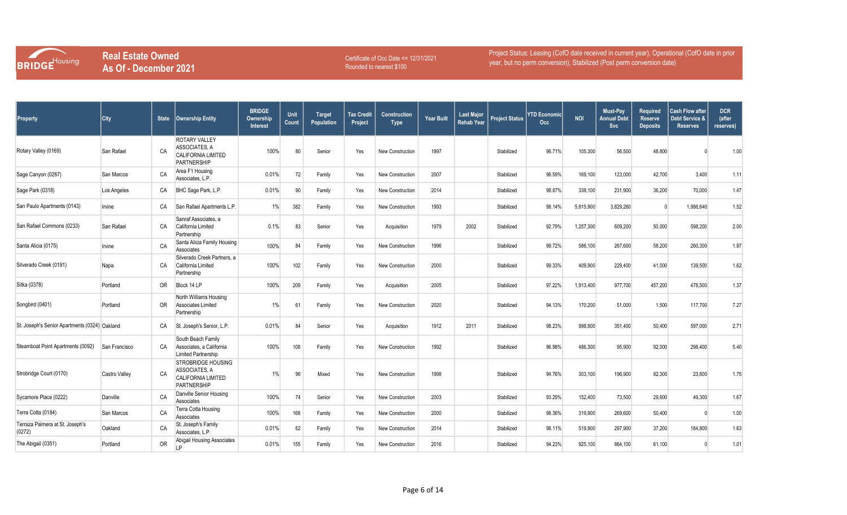

Certificate of Occ Date <= 12/31/2021 Rounded to nearest \$100

| Property                                      | City                 |     | State   Ownership Entity                                                                      | <b>BRIDGE</b><br><b>Ownership</b><br><b>Interest</b> | Unit<br>Count | <b>Target</b><br>Population | <b>Tax Credit</b><br>Project | <b>Construction</b><br><b>Type</b> | <b>Year Built</b> | <b>Last Major</b><br><b>Rehab Year</b> | <b>Project Status</b> | <b>YTD Economicl</b><br>Occ | <b>NOI</b> | Must-Pay<br>Annual Debt<br>Svc | <b>Required</b><br><b>Reserve</b><br><b>Deposits</b> | <b>Cash Flow after</b><br>Debt Service &<br><b>Reserves</b> | <b>DCR</b><br>(after<br>reserves) |
|-----------------------------------------------|----------------------|-----|-----------------------------------------------------------------------------------------------|------------------------------------------------------|---------------|-----------------------------|------------------------------|------------------------------------|-------------------|----------------------------------------|-----------------------|-----------------------------|------------|--------------------------------|------------------------------------------------------|-------------------------------------------------------------|-----------------------------------|
| Rotary Valley (0169)                          | San Rafael           | CA  | <b>ROTARY VALLEY</b><br>ASSOCIATES, A<br>CALIFORNIA LIMITED<br>PARTNERSHIP                    | 100%                                                 | 80            | Senior                      | Yes                          | New Construction                   | 1997              |                                        | Stabilized            | 96.71%                      | 105,300    | 56,500                         | 48,800                                               |                                                             | 1.00                              |
| Sage Canyon (0267)                            | San Marcos           | CA  | Area F1 Housing<br>Associates, L.P.                                                           | 0.01%                                                | 72            | Family                      | Yes                          | New Construction                   | 2007              |                                        | Stabilized            | 96.59%                      | 169,100    | 123,000                        | 42,700                                               | 3,400                                                       | 1.11                              |
| Sage Park (0318)                              | Los Angeles          | CA  | BHC Sage Park, L.P.                                                                           | 0.01%                                                | 90            | Family                      | Yes                          | New Construction                   | 2014              |                                        | Stabilized            | 98.87%                      | 338,100    | 231,900                        | 36,200                                               | 70,000                                                      | 1.47                              |
| San Paulo Apartments (0143)                   | Irvine               | СA  | San Rafael Apartments L.P.                                                                    | $1\%$                                                | 382           | Family                      | Yes                          | <b>New Construction</b>            | 1993              |                                        | Stabilized            | 98.14%                      | 5,815,900  | 3,829,260                      |                                                      | 1,986,640                                                   | 1.52                              |
| San Rafael Commons (0233)                     | San Rafael           | CA  | Sanraf Associates, a<br>California Limited<br>Partnership                                     | 0.1%                                                 | 83            | Senior                      | Yes                          | Acquisition                        | 1979              | 2002                                   | Stabilized            | 92.79%                      | 1,257,300  | 609,200                        | 50,000                                               | 598,200                                                     | 2.00                              |
| Santa Alicia (0175)                           | Irvine               | CA  | Santa Alicia Family Housing<br>Associates                                                     | 100%                                                 | 84            | Family                      | Yes                          | New Construction                   | 1996              |                                        | Stabilized            | 99.72%                      | 586,100    | 267,600                        | 58,200                                               | 260,300                                                     | 1.97                              |
| Silverado Creek (0191)                        | Napa                 | CA  | Silverado Creek Partners, a<br>California Limited<br>Partnership                              | 100%                                                 | 102           | Family                      | Yes                          | New Construction                   | 2000              |                                        | Stabilized            | 99.33%                      | 409,900    | 229,400                        | 41,000                                               | 139,500                                                     | 1.62                              |
| Sitka (0378)                                  | Portland             | OR. | Block 14 LP                                                                                   | 100%                                                 | 209           | Family                      | Yes                          | Acquisition                        | 2005              |                                        | Stabilized            | 97.22%                      | 1,913,400  | 977,700                        | 457,200                                              | 478,500                                                     | 1.37                              |
| Songbird (0401)                               | Portland             | 0R  | North Williams Housing<br><b>Associates Limited</b><br>Partnership                            | 1%                                                   | 61            | Family                      | Yes                          | New Construction                   | 2020              |                                        | Stabilized            | 94.13%                      | 170,200    | 51,000                         | 1,500                                                | 117,700                                                     | 7.27                              |
| St. Joseph's Senior Apartments (0324) Oakland |                      | CA  | St. Joseph's Senior, L.P.                                                                     | 0.01%                                                | 84            | Senior                      | Yes                          | Acquisition                        | 1912              | 2011                                   | Stabilized            | 98.23%                      | 998,800    | 351,400                        | 50,400                                               | 597,000                                                     | 2.71                              |
| Steamboat Point Apartments (0092)             | San Francisco        | CA  | South Beach Family<br>Associates, a California<br>Limited Partnership                         | 100%                                                 | 108           | Family                      | Yes                          | New Construction                   | 1992              |                                        | Stabilized            | 96.98%                      | 486,300    | 95.900                         | 92,000                                               | 298,400                                                     | 5.40                              |
| Strobridge Court (0170)                       | <b>Castro Valley</b> | CA  | <b>STROBRIDGE HOUSING</b><br>ASSOCIATES, A<br><b>CALIFORNIA LIMITED</b><br><b>PARTNERSHIP</b> | $1\%$                                                | 96            | Mixed                       | Yes                          | New Construction                   | 1998              |                                        | Stabilized            | 94.76%                      | 303,100    | 196,900                        | 82,300                                               | 23,800                                                      | 1.75                              |
| Sycamore Place (0222)                         | Danville             | CA  | Danville Senior Housing<br>Associates                                                         | 100%                                                 | 74            | Senior                      | Yes                          | New Construction                   | 2003              |                                        | Stabilized            | 93.29%                      | 152,400    | 73,500                         | 29,600                                               | 49,300                                                      | 1.67                              |
| Terra Cotta (0184)                            | San Marcos           | CA  | Terra Cotta Housing<br>Associates                                                             | 100%                                                 | 168           | Family                      | Yes                          | <b>New Construction</b>            | 2000              |                                        | Stabilized            | 98.36%                      | 319,900    | 269,600                        | 50,400                                               |                                                             | 1.00                              |
| Terraza Palmera at St. Joseph's<br>(0272)     | Oakland              | CA  | St. Joseph's Family<br>Associates, L.P.                                                       | 0.01%                                                | 62            | Family                      | Yes                          | New Construction                   | 2014              |                                        | Stabilized            | 98.11%                      | 519,900    | 297,900                        | 37,200                                               | 184,800                                                     | 1.63                              |
| The Abigail (0351)                            | Portland             | 0R  | Abigail Housing Associates<br>LP                                                              | 0.01%                                                | 155           | Family                      | Yes                          | New Construction                   | 2016              |                                        | Stabilized            | 94.23%                      | 925,100    | 864,100                        | 61,100                                               |                                                             | 1.01                              |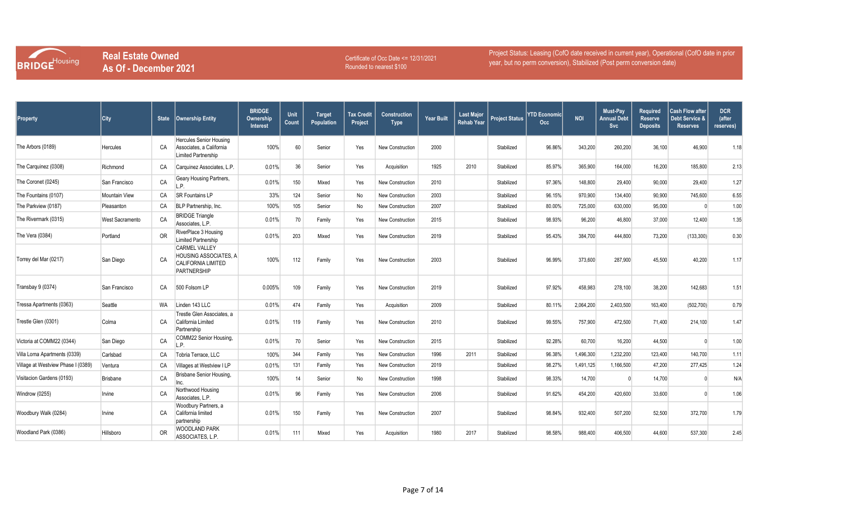

Certificate of Occ Date <= 12/31/2021 Rounded to nearest \$100

| Property                           | City                   | <b>State</b> | <b>Ownership Entity</b>                                                                          | <b>BRIDGE</b><br>Ownership<br>Interest | Unit<br>Count | <b>Target</b><br>Population | <b>Tax Credit</b><br>Project | <b>Construction</b><br><b>Type</b> | <b>Year Built</b> | <b>Last Major</b><br><b>Rehab Year</b> | <b>Project Status</b> | YTD Economicl<br>Occ | <b>NOI</b> | Must-Pay<br><b>Annual Debt</b><br>Svc | <b>Required</b><br><b>Reserve</b><br><b>Deposits</b> | <b>Cash Flow after</b><br>Debt Service &<br><b>Reserves</b> | <b>DCR</b><br>(after<br>reserves) |
|------------------------------------|------------------------|--------------|--------------------------------------------------------------------------------------------------|----------------------------------------|---------------|-----------------------------|------------------------------|------------------------------------|-------------------|----------------------------------------|-----------------------|----------------------|------------|---------------------------------------|------------------------------------------------------|-------------------------------------------------------------|-----------------------------------|
| The Arbors (0189)                  | Hercules               | CA           | Hercules Senior Housing<br>Associates, a California<br>Limited Partnership                       | 100%                                   | 60            | Senior                      | Yes                          | New Construction                   | 2000              |                                        | Stabilized            | 96.86%               | 343,200    | 260,200                               | 36,100                                               | 46,900                                                      | 1.18                              |
| The Carquinez (0308)               | Richmond               | CA           | Carquinez Associates, L.P.                                                                       | 0.01%                                  | 36            | Senior                      | Yes                          | Acquisition                        | 1925              | 2010                                   | Stabilized            | 85.97%               | 365,900    | 164,000                               | 16,200                                               | 185,800                                                     | 2.13                              |
| The Coronet (0245)                 | San Francisco          | CA           | Geary Housing Partners,<br>L.P.                                                                  | 0.01%                                  | 150           | Mixed                       | Yes                          | New Construction                   | 2010              |                                        | Stabilized            | 97.36%               | 148,800    | 29,400                                | 90,000                                               | 29,400                                                      | 1.27                              |
| The Fountains (0107)               | Mountain View          | CA           | SR Fountains LP                                                                                  | 33%                                    | 124           | Senior                      | No                           | New Construction                   | 2003              |                                        | Stabilized            | 96.15%               | 970,900    | 134,400                               | 90,900                                               | 745,600                                                     | 6.55                              |
| The Parkview (0187)                | Pleasanton             | CA           | BLP Partnership, Inc.                                                                            | 100%                                   | 105           | Senior                      | No                           | New Construction                   | 2007              |                                        | Stabilized            | 80.00%               | 725,000    | 630,000                               | 95,000                                               | $\Omega$                                                    | 1.00                              |
| The Rivermark (0315)               | <b>West Sacramento</b> | CA           | <b>BRIDGE Triangle</b><br>Associates, L.P.                                                       | 0.01%                                  | 70            | Family                      | Yes                          | New Construction                   | 2015              |                                        | Stabilized            | 98.93%               | 96.200     | 46.800                                | 37,000                                               | 12.400                                                      | 1.35                              |
| The Vera (0384)                    | Portland               | <b>OR</b>    | RiverPlace 3 Housing<br>Limited Partnership                                                      | 0.01%                                  | 203           | Mixed                       | Yes                          | New Construction                   | 2019              |                                        | Stabilized            | 95.43%               | 384,700    | 444,800                               | 73,200                                               | (133, 300)                                                  | 0.30                              |
| Torrey del Mar (0217)              | San Diego              | CA           | <b>CARMEL VALLEY</b><br>HOUSING ASSOCIATES, A<br><b>CALIFORNIA LIMITED</b><br><b>PARTNERSHIP</b> | 100%                                   | 112           | Family                      | Yes                          | New Construction                   | 2003              |                                        | Stabilized            | 96.99%               | 373,600    | 287,900                               | 45,500                                               | 40,200                                                      | 1.17                              |
| Transbay 9 (0374)                  | San Francisco          | CA           | 500 Folsom LP                                                                                    | 0.005%                                 | 109           | Family                      | Yes                          | New Construction                   | 2019              |                                        | Stabilized            | 97.92%               | 458,983    | 278,100                               | 38,200                                               | 142,683                                                     | 1.51                              |
| Tressa Apartments (0363)           | Seattle                | WA           | Linden 143 LLC                                                                                   | 0.01%                                  | 474           | Family                      | Yes                          | Acquisition                        | 2009              |                                        | Stabilized            | 80.11%               | 2,064,200  | 2,403,500                             | 163,400                                              | (502, 700)                                                  | 0.79                              |
| Trestle Glen (0301)                | Colma                  | CA           | Trestle Glen Associates, a<br>California Limited<br>Partnership                                  | 0.01%                                  | 119           | Family                      | Yes                          | New Construction                   | 2010              |                                        | Stabilized            | 99.55%               | 757,900    | 472,500                               | 71,400                                               | 214,100                                                     | 1.47                              |
| Victoria at COMM22 (0344)          | San Diego              | CA           | COMM22 Senior Housing,<br>.P.                                                                    | 0.01%                                  | 70            | Senior                      | Yes                          | New Construction                   | 2015              |                                        | Stabilized            | 92.28%               | 60,700     | 16,200                                | 44,500                                               |                                                             | 1.00                              |
| Villa Loma Apartments (0339)       | Carlsbad               | CA           | Tobria Terrace, LLC                                                                              | 100%                                   | 344           | Family                      | Yes                          | New Construction                   | 1996              | 2011                                   | Stabilized            | 96.38%               | 1,496,300  | 1,232,200                             | 123,400                                              | 140,700                                                     | 1.11                              |
| Village at Westview Phase I (0389) | Ventura                | CA           | Villages at Westview I LP                                                                        | 0.01%                                  | 131           | Family                      | Yes                          | <b>New Construction</b>            | 2019              |                                        | Stabilized            | 98.27%               | 1,491,125  | 1,166,500                             | 47,200                                               | 277,425                                                     | 1.24                              |
| Visitacion Gardens (0193)          | <b>Brisbane</b>        | CA           | Brisbane Senior Housing.<br>Inc.                                                                 | 100%                                   | 14            | Senior                      | No                           | New Construction                   | 1998              |                                        | Stabilized            | 98.33%               | 14,700     |                                       | 14,700                                               |                                                             | N/A                               |
| Windrow (0255)                     | Irvine                 | CA           | Northwood Housing<br>Associates, L.P.                                                            | 0.01%                                  | 96            | Family                      | Yes                          | New Construction                   | 2006              |                                        | Stabilized            | 91.62%               | 454,200    | 420,600                               | 33,600                                               |                                                             | 1.06                              |
| Woodbury Walk (0284)               | Irvine                 | CA           | Woodbury Partners, a<br>California limited<br>partnership                                        | 0.01%                                  | 150           | Family                      | Yes                          | New Construction                   | 2007              |                                        | Stabilized            | 98.84%               | 932,400    | 507,200                               | 52,500                                               | 372,700                                                     | 1.79                              |
| Woodland Park (0386)               | Hillsboro              | <b>OR</b>    | WOODLAND PARK<br>ASSOCIATES, L.P.                                                                | 0.01%                                  | 111           | Mixed                       | Yes                          | Acquisition                        | 1980              | 2017                                   | Stabilized            | 98.58%               | 988,400    | 406,500                               | 44,600                                               | 537,300                                                     | 2.45                              |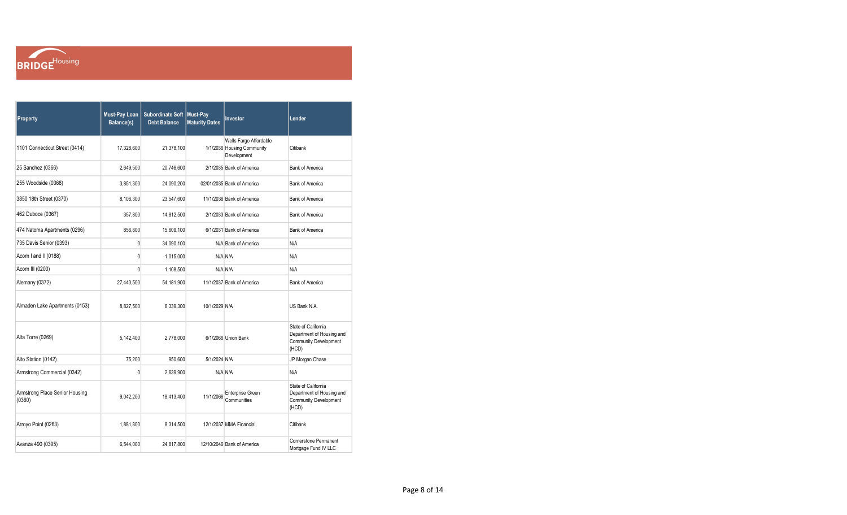

| Property                                 | <b>Must-Pay Loan</b><br>Balance(s) | Subordinate Soft Must-Pay<br><b>Debt Balance</b> | <b>Maturity Dates</b> | Investor                                                            | Lender                                                                                    |
|------------------------------------------|------------------------------------|--------------------------------------------------|-----------------------|---------------------------------------------------------------------|-------------------------------------------------------------------------------------------|
| 1101 Connecticut Street (0414)           | 17,328,600                         | 21,378,100                                       |                       | Wells Fargo Affordable<br>1/1/2036 Housing Community<br>Development | Citibank                                                                                  |
| 25 Sanchez (0366)                        | 2,649,500                          | 20,746,600                                       |                       | 2/1/2035 Bank of America                                            | <b>Bank of America</b>                                                                    |
| 255 Woodside (0368)                      | 3,851,300                          | 24,090,200                                       |                       | 02/01/2035 Bank of America                                          | <b>Bank of America</b>                                                                    |
| 3850 18th Street (0370)                  | 8,106,300                          | 23,547,600                                       |                       | 11/1/2036 Bank of America                                           | <b>Bank of America</b>                                                                    |
| 462 Duboce (0367)                        | 357,800                            | 14,812,500                                       |                       | 2/1/2033 Bank of America                                            | <b>Bank of America</b>                                                                    |
| 474 Natoma Apartments (0296)             | 856,800                            | 15,609,100                                       |                       | 6/1/2031 Bank of America                                            | <b>Bank of America</b>                                                                    |
| 735 Davis Senior (0393)                  | $\mathbf 0$                        | 34,090,100                                       |                       | N/A Bank of America                                                 | N/A                                                                                       |
| Acorn I and II (0188)                    | $\mathbf{0}$                       | 1,015,000                                        |                       | N/A N/A                                                             | N/A                                                                                       |
| Acorn III (0200)                         | $\mathbf{0}$                       | 1,108,500                                        |                       | N/A N/A                                                             | N/A                                                                                       |
| Alemany (0372)                           | 27,440,500                         | 54,181,900                                       |                       | 11/1/2037 Bank of America                                           | <b>Bank of America</b>                                                                    |
| Almaden Lake Apartments (0153)           | 8,827,500                          | 6,339,300                                        | 10/1/2029 N/A         |                                                                     | US Bank N.A.                                                                              |
| Alta Torre (0269)                        | 5,142,400                          | 2,778,000                                        |                       | 6/1/2066 Union Bank                                                 | State of California<br>Department of Housing and<br><b>Community Development</b><br>(HCD) |
| Alto Station (0142)                      | 75,200                             | 950,600                                          | 5/1/2024 N/A          |                                                                     | JP Morgan Chase                                                                           |
| Armstrong Commercial (0342)              | $\mathbf{0}$                       | 2,639,900                                        |                       | N/A N/A                                                             | N/A                                                                                       |
| Armstrong Place Senior Housing<br>(0360) | 9,042,200                          | 18,413,400                                       | 11/1/2066             | <b>Enterprise Green</b><br>Communities                              | State of California<br>Department of Housing and<br><b>Community Development</b><br>(HCD) |
| Arroyo Point (0263)                      | 1.881.800                          | 8.314.500                                        |                       | 12/1/2037 MMA Financial                                             | Citibank                                                                                  |
| Avanza 490 (0395)                        | 6,544,000                          | 24,817,800                                       |                       | 12/10/2046 Bank of America                                          | <b>Cornerstone Permanent</b><br>Mortgage Fund IV LLC                                      |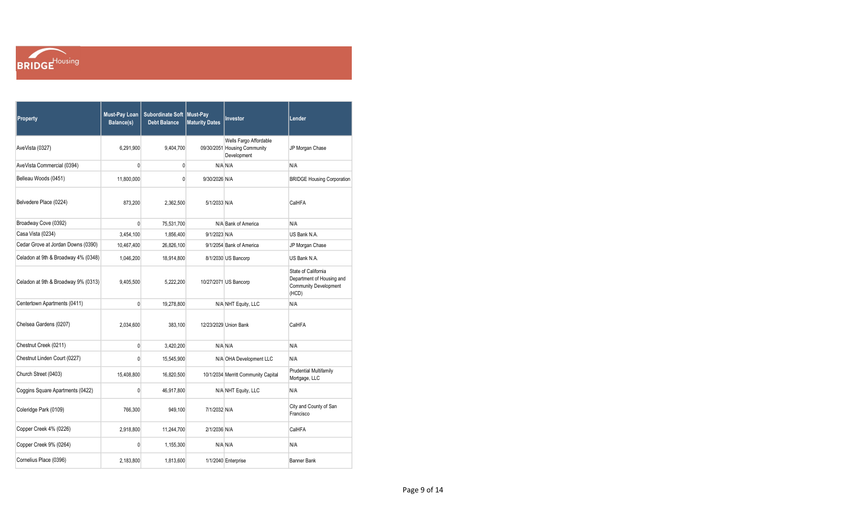

| Property                            | <b>Must-Pay Loan</b><br>Balance(s) | Subordinate Soft   Must-Pay<br><b>Debt Balance</b> | <b>Maturity Dates</b> | <b>Investor</b>                                                       | Lender                                                                                    |
|-------------------------------------|------------------------------------|----------------------------------------------------|-----------------------|-----------------------------------------------------------------------|-------------------------------------------------------------------------------------------|
| AveVista (0327)                     | 6.291.900                          | 9.404.700                                          |                       | Wells Fargo Affordable<br>09/30/2051 Housing Community<br>Development | JP Morgan Chase                                                                           |
| AveVista Commercial (0394)          | $\mathbf{0}$                       | 0                                                  |                       | N/A N/A                                                               | N/A                                                                                       |
| Belleau Woods (0451)                | 11,800,000                         | 0                                                  | 9/30/2026 N/A         |                                                                       | <b>BRIDGE Housing Corporation</b>                                                         |
| Belvedere Place (0224)              | 873,200                            | 2,362,500                                          | 5/1/2033 N/A          |                                                                       | CalHFA                                                                                    |
| Broadway Cove (0392)                | $\mathbf{0}$                       | 75,531,700                                         |                       | N/A Bank of America                                                   | N/A                                                                                       |
| Casa Vista (0234)                   | 3,454,100                          | 1,856,400                                          | 9/1/2023 N/A          |                                                                       | US Bank N.A.                                                                              |
| Cedar Grove at Jordan Downs (0390)  | 10,467,400                         | 26,826,100                                         |                       | 9/1/2054 Bank of America                                              | JP Morgan Chase                                                                           |
| Celadon at 9th & Broadway 4% (0348) | 1,046,200                          | 18,914,800                                         |                       | 8/1/2030 US Bancorp                                                   | US Bank N.A.                                                                              |
| Celadon at 9th & Broadway 9% (0313) | 9,405,500                          | 5,222,200                                          |                       | 10/27/2071 US Bancorp                                                 | State of California<br>Department of Housing and<br><b>Community Development</b><br>(HCD) |
| Centertown Apartments (0411)        | $\overline{0}$                     | 19,278,800                                         |                       | N/A NHT Equity, LLC                                                   | N/A                                                                                       |
| Chelsea Gardens (0207)              | 2,034,600                          | 383,100                                            |                       | 12/23/2029 Union Bank                                                 | CalHFA                                                                                    |
| Chestnut Creek (0211)               | $\pmb{0}$                          | 3,420,200                                          |                       | N/A N/A                                                               | N/A                                                                                       |
| Chestnut Linden Court (0227)        | $\mathbf{0}$                       | 15,545,900                                         |                       | N/A OHA Development LLC                                               | N/A                                                                                       |
| Church Street (0403)                | 15,408,800                         | 16,820,500                                         |                       | 10/1/2034 Merritt Community Capital                                   | <b>Prudential Multifamily</b><br>Mortgage, LLC                                            |
| Coggins Square Apartments (0422)    | 0                                  | 46,917,800                                         |                       | N/A NHT Equity, LLC                                                   | N/A                                                                                       |
| Coleridge Park (0109)               | 766,300                            | 949,100                                            | 7/1/2032 N/A          |                                                                       | City and County of San<br>Francisco                                                       |
| Copper Creek 4% (0226)              | 2,918,800                          | 11,244,700                                         | 2/1/2036 N/A          |                                                                       | CalHFA                                                                                    |
| Copper Creek 9% (0264)              | 0                                  | 1,155,300                                          |                       | N/A N/A                                                               | N/A                                                                                       |
| Cornelius Place (0396)              | 2.183.800                          | 1.813.600                                          |                       | 1/1/2040 Enterprise                                                   | <b>Banner Bank</b>                                                                        |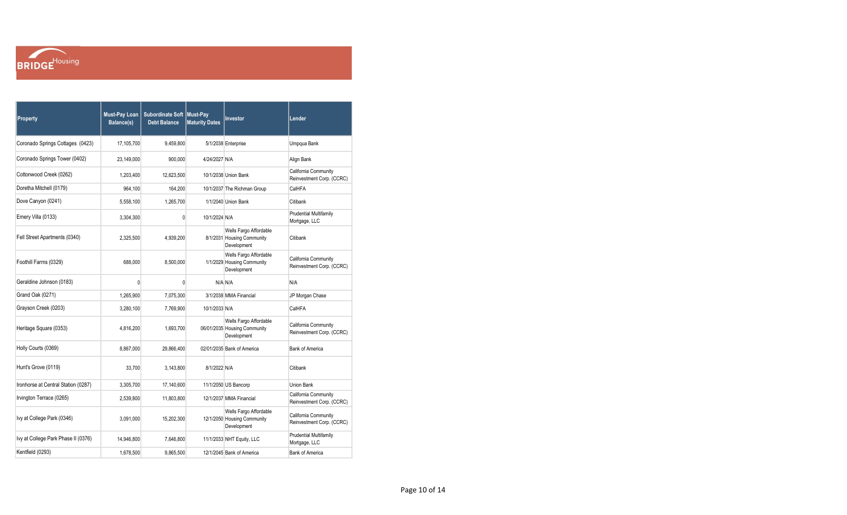

| Property                            | <b>Must-Pay Loan</b><br>Balance(s) | Subordinate Soft Must-Pay<br><b>Debt Balance</b> | <b>Maturity Dates</b> | Investor                                                              | Lender                                            |
|-------------------------------------|------------------------------------|--------------------------------------------------|-----------------------|-----------------------------------------------------------------------|---------------------------------------------------|
| Coronado Springs Cottages (0423)    | 17.105.700                         | 9,459,800                                        |                       | 5/1/2038 Enterprise                                                   | Umpqua Bank                                       |
| Coronado Springs Tower (0402)       | 23,149,000                         | 900,000                                          | 4/24/2027 N/A         |                                                                       | Align Bank                                        |
| Cottonwood Creek (0262)             | 1,203,400                          | 12,623,500                                       |                       | 10/1/2038 Union Bank                                                  | California Community<br>Reinvestment Corp. (CCRC) |
| Doretha Mitchell (0179)             | 964.100                            | 164,200                                          |                       | 10/1/2037 The Richman Group                                           | CalHFA                                            |
| Dove Canyon (0241)                  | 5,558,100                          | 1,265,700                                        |                       | 1/1/2040 Union Bank                                                   | Citibank                                          |
| Emery Villa (0133)                  | 3,304,300                          | 0                                                | 10/1/2024 N/A         |                                                                       | <b>Prudential Multifamily</b><br>Mortgage, LLC    |
| Fell Street Apartments (0340)       | 2,325,500                          | 4,939,200                                        |                       | Wells Fargo Affordable<br>8/1/2031 Housing Community<br>Development   | Citibank                                          |
| Foothill Farms (0329)               | 688,000                            | 8,500,000                                        |                       | Wells Fargo Affordable<br>1/1/2029 Housing Community<br>Development   | California Community<br>Reinvestment Corp. (CCRC) |
| Geraldine Johnson (0183)            | 0                                  | 0                                                |                       | N/A N/A                                                               | N/A                                               |
| Grand Oak (0271)                    | 1,265,900                          | 7,075,300                                        |                       | 3/1/2038 MMA Financial                                                | JP Morgan Chase                                   |
| Grayson Creek (0203)                | 3,280,100                          | 7,769,900                                        | 10/1/2033 N/A         |                                                                       | CalHFA                                            |
| Heritage Square (0353)              | 4,816,200                          | 1,693,700                                        |                       | Wells Fargo Affordable<br>06/01/2035 Housing Community<br>Development | California Community<br>Reinvestment Corp. (CCRC) |
| Holly Courts (0369)                 | 8,867,000                          | 29,866,400                                       |                       | 02/01/2035 Bank of America                                            | <b>Bank of America</b>                            |
| Hunt's Grove (0119)                 | 33,700                             | 3,143,800                                        | 8/1/2022 N/A          |                                                                       | Citibank                                          |
| Ironhorse at Central Station (0287) | 3,305,700                          | 17,140,600                                       |                       | 11/1/2050 US Bancorp                                                  | Union Bank                                        |
| Irvington Terrace (0265)            | 2,539,800                          | 11,803,800                                       |                       | 12/1/2037 MMA Financial                                               | California Community<br>Reinvestment Corp. (CCRC) |
| Ivy at College Park (0346)          | 3,091,000                          | 15,202,300                                       |                       | Wells Fargo Affordable<br>12/1/2050 Housing Community<br>Development  | California Community<br>Reinvestment Corp. (CCRC) |
| Ivy at College Park Phase II (0376) | 14,946,800                         | 7,646,800                                        |                       | 11/1/2033 NHT Equity, LLC                                             | <b>Prudential Multifamily</b><br>Mortgage, LLC    |
| Kentfield (0293)                    | 1,678,500                          | 9,865,500                                        |                       | 12/1/2045 Bank of America                                             | <b>Bank of America</b>                            |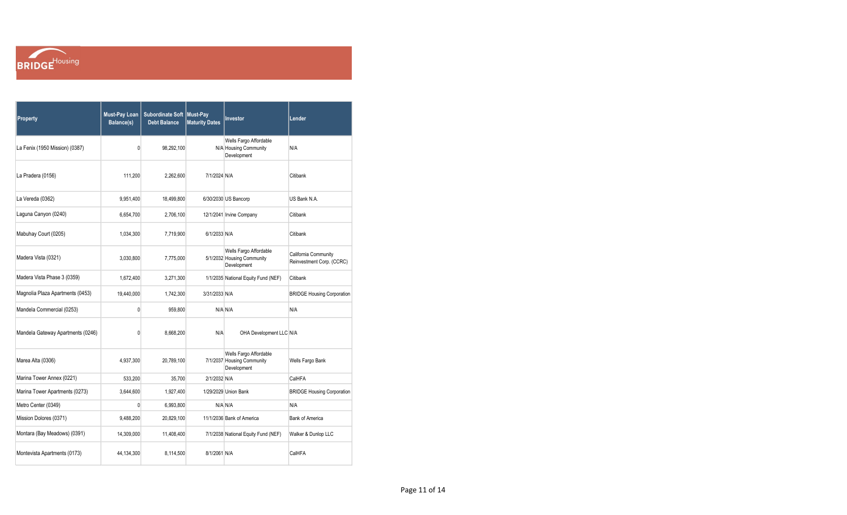

| Property                          | <b>Must-Pay Loan</b><br>Balance(s) | Subordinate Soft   Must-Pay<br><b>Debt Balance</b> | <b>Maturity Dates</b> | Investor                                                            | Lender                                            |
|-----------------------------------|------------------------------------|----------------------------------------------------|-----------------------|---------------------------------------------------------------------|---------------------------------------------------|
| La Fenix (1950 Mission) (0387)    | 0                                  | 98,292,100                                         |                       | Wells Fargo Affordable<br>N/A Housing Community<br>Development      | N/A                                               |
| La Pradera (0156)                 | 111,200                            | 2,262,600                                          | 7/1/2024 N/A          |                                                                     | Citibank                                          |
| La Vereda (0362)                  | 9,951,400                          | 18,499,800                                         |                       | 6/30/2030 US Bancorp                                                | US Bank N.A.                                      |
| Laguna Canyon (0240)              | 6,654,700                          | 2,706,100                                          |                       | 12/1/2041 Irvine Company                                            | Citibank                                          |
| Mabuhay Court (0205)              | 1,034,300                          | 7,719,900                                          | 6/1/2033 N/A          |                                                                     | Citibank                                          |
| Madera Vista (0321)               | 3,030,800                          | 7,775,000                                          |                       | Wells Fargo Affordable<br>5/1/2032 Housing Community<br>Development | California Community<br>Reinvestment Corp. (CCRC) |
| Madera Vista Phase 3 (0359)       | 1,672,400                          | 3,271,300                                          |                       | 1/1/2035 National Equity Fund (NEF)                                 | Citibank                                          |
| Magnolia Plaza Apartments (0453)  | 19,440,000                         | 1,742,300                                          | 3/31/2033 N/A         |                                                                     | <b>BRIDGE Housing Corporation</b>                 |
| Mandela Commercial (0253)         | 0                                  | 959,800                                            |                       | N/A N/A                                                             | N/A                                               |
| Mandela Gateway Apartments (0246) | 0                                  | 8,668,200                                          | N/A                   | OHA Development LLC N/A                                             |                                                   |
| Marea Alta (0306)                 | 4,937,300                          | 20.789.100                                         |                       | Wells Fargo Affordable<br>7/1/2037 Housing Community<br>Development | Wells Fargo Bank                                  |
| Marina Tower Annex (0221)         | 533,200                            | 35,700                                             | 2/1/2032 N/A          |                                                                     | CalHFA                                            |
| Marina Tower Apartments (0273)    | 3,644,600                          | 1,927,400                                          |                       | 1/29/2029 Union Bank                                                | <b>BRIDGE Housing Corporation</b>                 |
| Metro Center (0349)               | 0                                  | 6,993,800                                          |                       | N/A N/A                                                             | N/A                                               |
| Mission Dolores (0371)            | 9,488,200                          | 20,829,100                                         |                       | 11/1/2036 Bank of America                                           | <b>Bank of America</b>                            |
| Montara (Bay Meadows) (0391)      | 14,309,000                         | 11,408,400                                         |                       | 7/1/2038 National Equity Fund (NEF)                                 | Walker & Dunlop LLC                               |
| Montevista Apartments (0173)      | 44,134,300                         | 8,114,500                                          | 8/1/2061 N/A          |                                                                     | CalHFA                                            |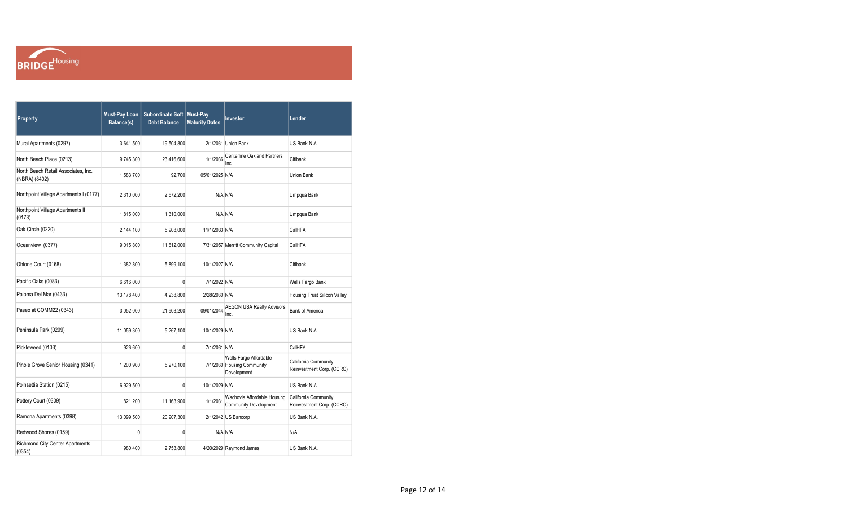

| Property                                             | <b>Must-Pay Loan</b><br>Balance(s) | Subordinate Soft   Must-Pay<br><b>Debt Balance</b> | <b>Maturity Dates</b> | Investor                                                            | Lender                                            |
|------------------------------------------------------|------------------------------------|----------------------------------------------------|-----------------------|---------------------------------------------------------------------|---------------------------------------------------|
| Mural Apartments (0297)                              | 3,641,500                          | 19,504,800                                         |                       | 2/1/2031 Union Bank                                                 | US Bank N.A.                                      |
| North Beach Place (0213)                             | 9,745,300                          | 23,416,600                                         | 1/1/2036              | <b>Centerline Oakland Partners</b><br>Inc.                          | Citibank                                          |
| North Beach Retail Associates, Inc.<br>(NBRA) (8402) | 1,583,700                          | 92,700                                             | 05/01/2025 N/A        |                                                                     | Union Bank                                        |
| Northpoint Village Apartments I (0177)               | 2,310,000                          | 2,672,200                                          |                       | N/A N/A                                                             | Umpqua Bank                                       |
| Northpoint Village Apartments II<br>(0178)           | 1,815,000                          | 1,310,000                                          |                       | N/A N/A                                                             | Umpqua Bank                                       |
| Oak Circle (0220)                                    | 2,144,100                          | 5,908,000                                          | 11/1/2033 N/A         |                                                                     | CalHFA                                            |
| Oceanview (0377)                                     | 9,015,800                          | 11,812,000                                         |                       | 7/31/2057 Merritt Community Capital                                 | CalHFA                                            |
| Ohlone Court (0168)                                  | 1,382,800                          | 5,899,100                                          | 10/1/2027 N/A         |                                                                     | Citibank                                          |
| Pacific Oaks (0083)                                  | 6,616,000                          | $\mathbf{0}$                                       | 7/1/2022 N/A          |                                                                     | Wells Fargo Bank                                  |
| Paloma Del Mar (0433)                                | 13,178,400                         | 4,238,800                                          | 2/28/2030 N/A         |                                                                     | Housing Trust Silicon Valley                      |
| Paseo at COMM22 (0343)                               | 3,052,000                          | 21,903,200                                         | 09/01/2044            | <b>AEGON USA Realty Advisors</b><br>Inc.                            | <b>Bank of America</b>                            |
| Peninsula Park (0209)                                | 11,059,300                         | 5,267,100                                          | 10/1/2029 N/A         |                                                                     | US Bank N.A.                                      |
| Pickleweed (0103)                                    | 926,600                            | $\mathbf{0}$                                       | 7/1/2031 N/A          |                                                                     | CalHFA                                            |
| Pinole Grove Senior Housing (0341)                   | 1,200,900                          | 5,270,100                                          |                       | Wells Fargo Affordable<br>7/1/2030 Housing Community<br>Development | California Community<br>Reinvestment Corp. (CCRC) |
| Poinsettia Station (0215)                            | 6,929,500                          | $\mathbf{0}$                                       | 10/1/2029 N/A         |                                                                     | US Bank N.A.                                      |
| Pottery Court (0309)                                 | 821,200                            | 11,163,900                                         | 1/1/2031              | Wachovia Affordable Housing<br><b>Community Development</b>         | California Community<br>Reinvestment Corp. (CCRC) |
| Ramona Apartments (0398)                             | 13,099,500                         | 20,907,300                                         |                       | 2/1/2042 US Bancorp                                                 | US Bank N.A.                                      |
| Redwood Shores (0159)                                | 0                                  | 0                                                  |                       | N/A N/A                                                             | N/A                                               |
| <b>Richmond City Center Apartments</b><br>(0354)     | 980,400                            | 2,753,800                                          |                       | 4/20/2029 Raymond James                                             | US Bank N.A.                                      |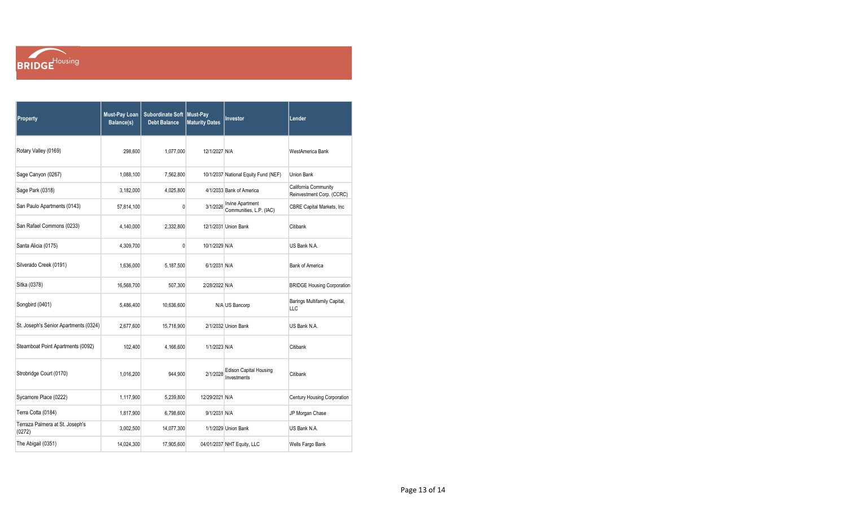

| Property                                  | <b>Must-Pay Loan</b><br>Balance(s) | Subordinate Soft Must-Pay<br><b>Debt Balance</b> | <b>Maturity Dates</b> | Investor                                           | Lender                                            |
|-------------------------------------------|------------------------------------|--------------------------------------------------|-----------------------|----------------------------------------------------|---------------------------------------------------|
| Rotary Valley (0169)                      | 298,600                            | 1,077,000                                        | 12/1/2027 N/A         |                                                    | <b>WestAmerica Bank</b>                           |
| Sage Canyon (0267)                        | 1,088,100                          | 7,562,800                                        |                       | 10/1/2037 National Equity Fund (NEF)               | <b>Union Bank</b>                                 |
| Sage Park (0318)                          | 3,182,000                          | 4,025,800                                        |                       | 4/1/2033 Bank of America                           | California Community<br>Reinvestment Corp. (CCRC) |
| San Paulo Apartments (0143)               | 57,814,100                         | 0                                                | 3/1/2026              | <b>Irvine Apartment</b><br>Communities, L.P. (IAC) | CBRE Capital Markets, Inc                         |
| San Rafael Commons (0233)                 | 4,140,000                          | 2,332,800                                        |                       | 12/1/2031 Union Bank                               | Citibank                                          |
| Santa Alicia (0175)                       | 4,309,700                          | $\mathbf{0}$                                     | 10/1/2029 N/A         |                                                    | US Bank N.A.                                      |
| Silverado Creek (0191)                    | 1,636,000                          | 5,187,500                                        | 6/1/2031 N/A          |                                                    | <b>Bank of America</b>                            |
| Sitka (0378)                              | 16,568,700                         | 507,300                                          | 2/28/2022 N/A         |                                                    | <b>BRIDGE Housing Corporation</b>                 |
| Songbird (0401)                           | 5,486,400                          | 10,636,600                                       |                       | N/A US Bancorp                                     | Barings Multifamily Capital,<br>LLC               |
| St. Joseph's Senior Apartments (0324)     | 2,677,600                          | 15,718,900                                       |                       | 2/1/2032 Union Bank                                | US Bank N.A.                                      |
| Steamboat Point Apartments (0092)         | 102,400                            | 4,166,600                                        | 1/1/2023 N/A          |                                                    | Citibank                                          |
| Strobridge Court (0170)                   | 1,016,200                          | 944,900                                          | 2/1/2028              | <b>Edison Capital Housing</b><br>Investments       | Citibank                                          |
| Sycamore Place (0222)                     | 1,117,900                          | 5,239,800                                        | 12/29/2021 N/A        |                                                    | Century Housing Corporation                       |
| Terra Cotta (0184)                        | 1,817,900                          | 6,798,600                                        | 9/1/2031 N/A          |                                                    | JP Morgan Chase                                   |
| Terraza Palmera at St. Joseph's<br>(0272) | 3,002,500                          | 14,077,300                                       |                       | 1/1/2029 Union Bank                                | US Bank N.A.                                      |
| The Abigail (0351)                        | 14,024,300                         | 17,905,600                                       |                       | 04/01/2037 NHT Equity, LLC                         | Wells Fargo Bank                                  |